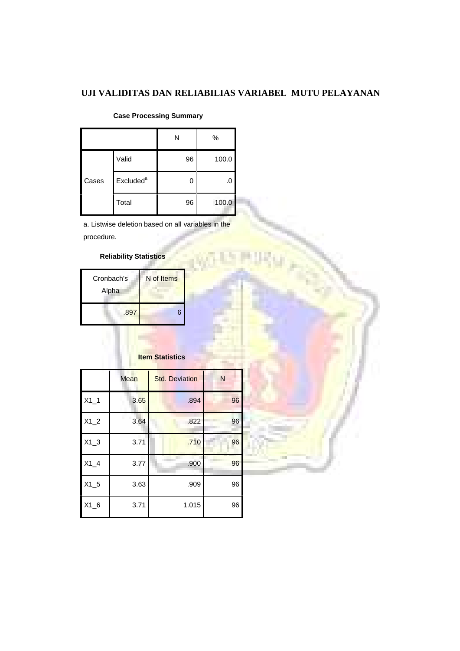### **UJI VALIDITAS DAN RELIABILIAS VARIABEL MUTU PELAYANAN**

|       |                       | N             | %     |
|-------|-----------------------|---------------|-------|
|       | Valid                 | 96            | 100.0 |
| Cases | Excluded <sup>a</sup> | $\mathcal{L}$ | .0    |
|       | Total                 | 96            | 100.0 |

#### **Case Processing Summary**

a. Listwise deletion based on all variables in the procedure.

#### **Reliability Statistics**

| Cronbach's<br>Alpha | N of Items |  |
|---------------------|------------|--|
| .897                | 6          |  |

### **Item Statistics**

|        | Mean | <b>Std. Deviation</b> | N  |
|--------|------|-----------------------|----|
| $X1_1$ | 3.65 | .894                  | 96 |
| $X1_2$ | 3.64 | .822                  | 96 |
| $X1_3$ | 3.71 | .710                  | 96 |
| $X1_4$ | 3.77 | .900                  | 96 |
| $X1_5$ | 3.63 | .909                  | 96 |
| $X1_6$ | 3.71 | 1.015                 | 96 |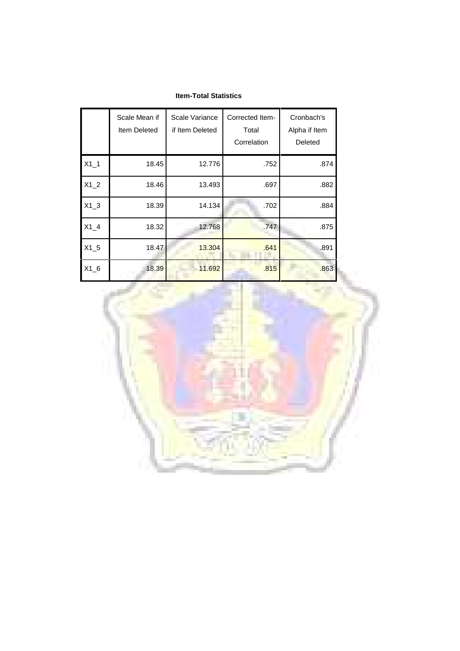#### **Item-Total Statistics**

|        | Scale Mean if<br>Item Deleted | Scale Variance<br>if Item Deleted | Corrected Item-<br>Total<br>Correlation | Cronbach's<br>Alpha if Item<br>Deleted |
|--------|-------------------------------|-----------------------------------|-----------------------------------------|----------------------------------------|
| $X1_1$ | 18.45                         | 12.776                            | .752                                    | .874                                   |
| $X1_2$ | 18.46                         | 13.493                            | .697                                    | .882                                   |
| $X1_3$ | 18.39                         | 14.134                            | .702                                    | .884                                   |
| $X1_4$ | 18.32                         | 12.768                            | .747                                    | .875                                   |
| $X1_5$ | 18.47                         | 13.304                            | .641                                    | .891                                   |
| $X1_6$ | 18.39                         | 11.692                            | .815                                    | .863                                   |

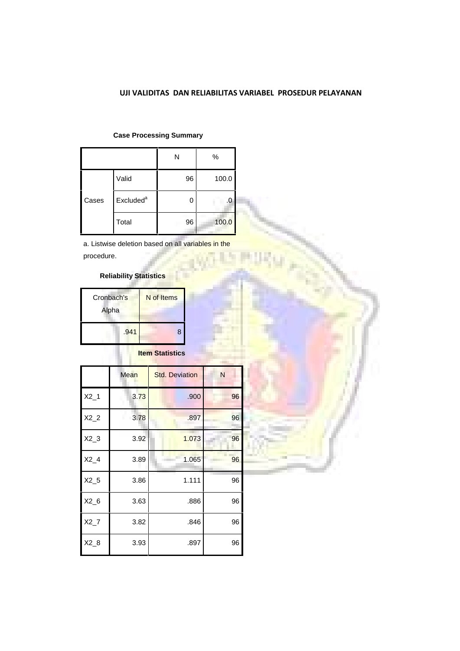#### **UJI VALIDITAS DAN RELIABILITAS VARIABEL PROSEDUR PELAYANAN**

|       |                       | N  | %     |
|-------|-----------------------|----|-------|
|       | Valid                 | 96 | 100.0 |
| Cases | Excluded <sup>a</sup> | 0  | .0    |
|       | Total                 | 96 | 100.0 |

#### **Case Processing Summary**

a. Listwise deletion based on all variables in the procedure.

### **Reliability Statistics**

| Cronbach's<br>Alpha | N of Items |
|---------------------|------------|
| .941                | 8          |

### **Item Statistics**

|        | Mean | <b>Std. Deviation</b> | N  |
|--------|------|-----------------------|----|
| $X2_1$ | 3.73 | .900                  | 96 |
| $X2_2$ | 3.78 | .897                  | 96 |
| $X2_3$ | 3.92 | 1.073                 | 96 |
| $X2_4$ | 3.89 | 1.065                 | 96 |
| $X2_5$ | 3.86 | 1.111                 | 96 |
| $X2_6$ | 3.63 | .886                  | 96 |
| $X2_7$ | 3.82 | .846                  | 96 |
| $X2_8$ | 3.93 | .897                  | 96 |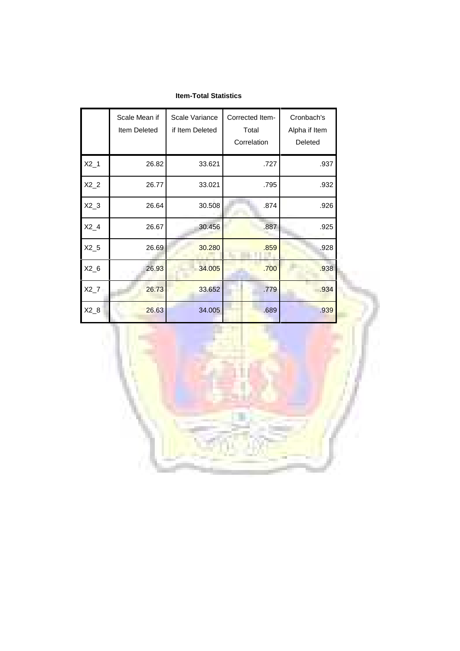|        | Scale Mean if<br>Item Deleted | Scale Variance<br>if Item Deleted | Corrected Item-<br>Total<br>Correlation | Cronbach's<br>Alpha if Item<br>Deleted |  |
|--------|-------------------------------|-----------------------------------|-----------------------------------------|----------------------------------------|--|
| $X2_1$ | 26.82                         | 33.621                            | .727                                    | .937                                   |  |
| $X2_2$ | 26.77                         | 33.021                            | .795                                    | .932                                   |  |
| $X2_3$ | 26.64                         | 30.508                            | .874                                    | .926                                   |  |
| $X2_4$ | 26.67                         | 30.456                            | .887                                    | .925                                   |  |
| $X2_5$ | 26.69                         | 30.280                            | .859                                    | .928                                   |  |
| $X2_6$ | 26.93                         | 34.005                            | .700                                    | .938                                   |  |
| $X2_7$ | 26.73                         | 33.652                            | .779                                    | .934                                   |  |
| $X2_8$ | 26.63                         | 34.005                            | .689                                    | .939                                   |  |

#### **Item-Total Statistics**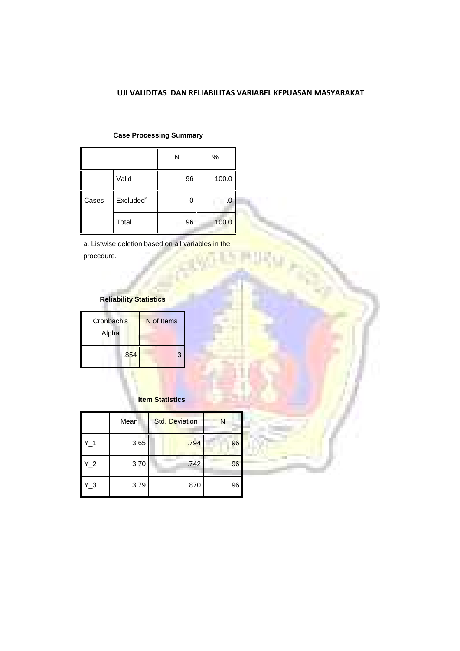#### **UJI VALIDITAS DAN RELIABILITAS VARIABEL KEPUASAN MASYARAKAT**

|       |                       | N  | $\%$  |
|-------|-----------------------|----|-------|
|       | Valid                 | 96 | 100.0 |
| Cases | Excluded <sup>a</sup> | 0  | .0    |
|       | Total                 | 96 | 100.0 |

**Case Processing Summary**

a. Listwise deletion based on all variables in the procedure.

### **Reliability Statistics**

| Cronbach's<br>Alpha | N of Items |
|---------------------|------------|
| .854                | 3          |

#### **Item Statistics**

|       | Mean | <b>Std. Deviation</b> | N  |
|-------|------|-----------------------|----|
| $Y_1$ | 3.65 | .794                  | 96 |
| $Y_2$ | 3.70 | .742                  | 96 |
| $Y_3$ | 3.79 | .870                  | 96 |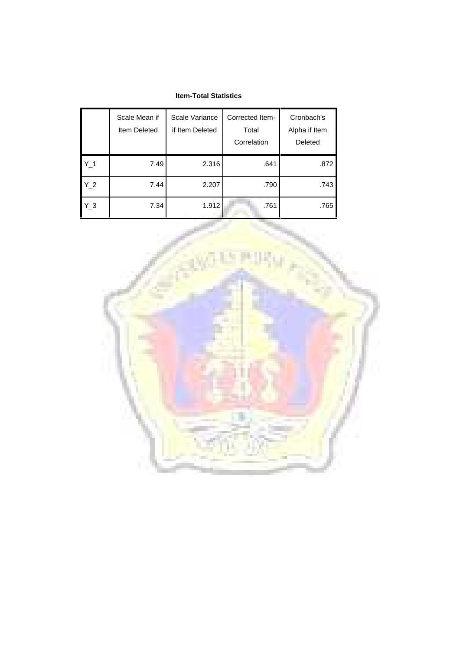#### **Item-Total Statistics**

|                | Scale Mean if<br>Item Deleted | Scale Variance<br>if Item Deleted | Corrected Item-<br>Total<br>Correlation | Cronbach's<br>Alpha if Item<br>Deleted |
|----------------|-------------------------------|-----------------------------------|-----------------------------------------|----------------------------------------|
| Y <sub>1</sub> | 7.49                          | 2.316                             | .641                                    | .872                                   |
| Y 2            | 7.44                          | 2.207                             | .790                                    | .743                                   |
| Y 3            | 7.34                          | 1.912                             | .761                                    | .765                                   |

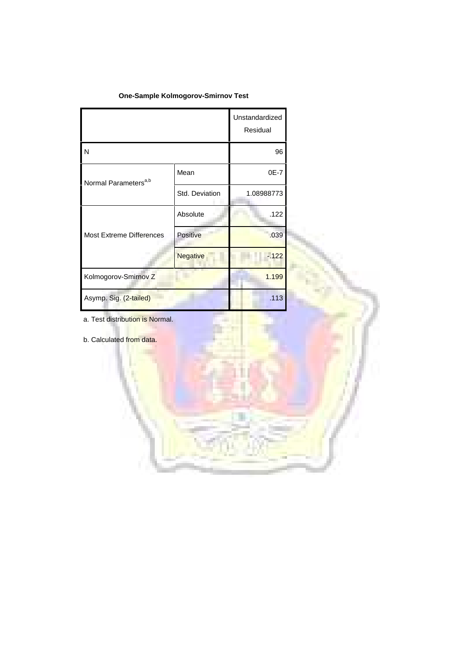#### **One-Sample Kolmogorov-Smirnov Test**

|                                  |                | Unstandardized<br>Residual |  |
|----------------------------------|----------------|----------------------------|--|
| N                                |                | 96                         |  |
| Normal Parameters <sup>a,b</sup> | Mean           | 0E-7                       |  |
|                                  | Std. Deviation | 1.08988773                 |  |
|                                  | Absolute       | .122                       |  |
| <b>Most Extreme Differences</b>  | Positive       | .039                       |  |
|                                  | Negative       | $-122$                     |  |
| Kolmogorov-Smirnov Z             |                | 1.199                      |  |
| Asymp. Sig. (2-tailed)           |                | .113                       |  |
| a. Test distribution is Normal.  |                |                            |  |
| b. Calculated from data.         |                |                            |  |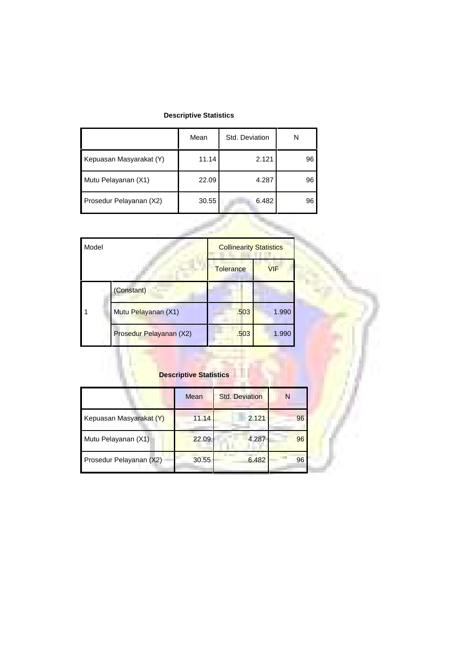### **Descriptive Statistics**

|                         | Mean  | Std. Deviation | N  |
|-------------------------|-------|----------------|----|
| Kepuasan Masyarakat (Y) | 11.14 | 2.121          | 96 |
| Mutu Pelayanan (X1)     | 22.09 | 4.287          | 96 |
| Prosedur Pelayanan (X2) | 30.55 | 6.482          | 96 |

| Model |                         | <b>Collinearity Statistics</b> |            |
|-------|-------------------------|--------------------------------|------------|
|       |                         | <b>Tolerance</b>               | <b>VIF</b> |
|       | (Constant)              |                                |            |
|       | Mutu Pelayanan (X1)     | .503                           | 1.990      |
|       | Prosedur Pelayanan (X2) | .503                           | 1.990      |

# **Descriptive Statistics**

|                         | Mean  | <b>Std. Deviation</b> | N  |
|-------------------------|-------|-----------------------|----|
| Kepuasan Masyarakat (Y) | 11.14 | 2.121                 | 96 |
| Mutu Pelayanan (X1)     | 22.09 | 4.287                 | 96 |
| Prosedur Pelayanan (X2) | 30.55 | 6.482                 | 96 |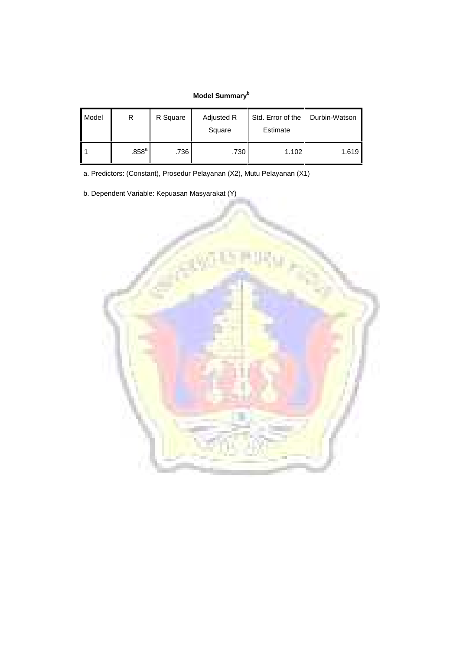### **Model Summary<sup>b</sup>**

| Model | R                 | R Square | Adjusted R<br>Square | Std. Error of the<br>Estimate | Durbin-Watson |
|-------|-------------------|----------|----------------------|-------------------------------|---------------|
|       | .858 <sup>a</sup> | .736     | .730                 | 1.102                         | 1.619         |

a. Predictors: (Constant), Prosedur Pelayanan (X2), Mutu Pelayanan (X1)

b. Dependent Variable: Kepuasan Masyarakat (Y)

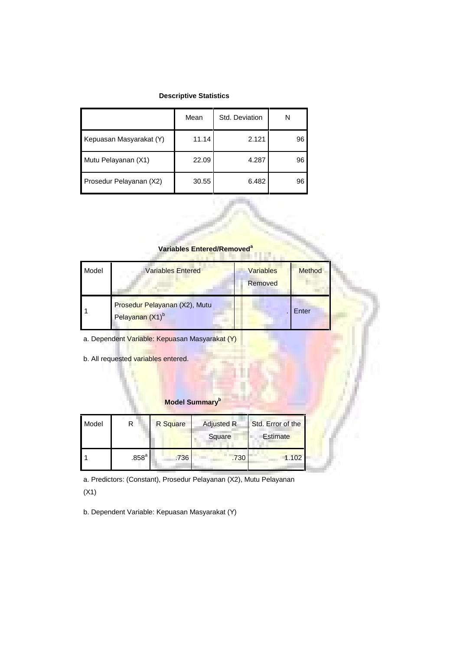#### **Descriptive Statistics**

|                         | Mean  | Std. Deviation | N  |
|-------------------------|-------|----------------|----|
| Kepuasan Masyarakat (Y) | 11.14 | 2.121          | 96 |
| Mutu Pelayanan (X1)     | 22.09 | 4.287          | 96 |
| Prosedur Pelayanan (X2) | 30.55 | 6.482          | 96 |

#### **Variables Entered/Removed<sup>a</sup>**

| Model | <b>Variables Entered</b>                                     | <b>Variables</b><br>Removed | Method |
|-------|--------------------------------------------------------------|-----------------------------|--------|
|       | Prosedur Pelayanan (X2), Mutu<br>Pelayanan (X1) <sup>b</sup> |                             | Enter  |

a. Dependent Variable: Kepuasan Masyarakat (Y)

b. All requested variables entered.

#### **Model Summary<sup>b</sup>**

| Model |                   | R Square | <b>Adjusted R</b><br>Square | Std. Error of the<br><b>Estimate</b> |
|-------|-------------------|----------|-----------------------------|--------------------------------------|
|       | .858 <sup>a</sup> | .736     | .730                        | 1.102                                |

a. Predictors: (Constant), Prosedur Pelayanan (X2), Mutu Pelayanan (X1)

b. Dependent Variable: Kepuasan Masyarakat (Y)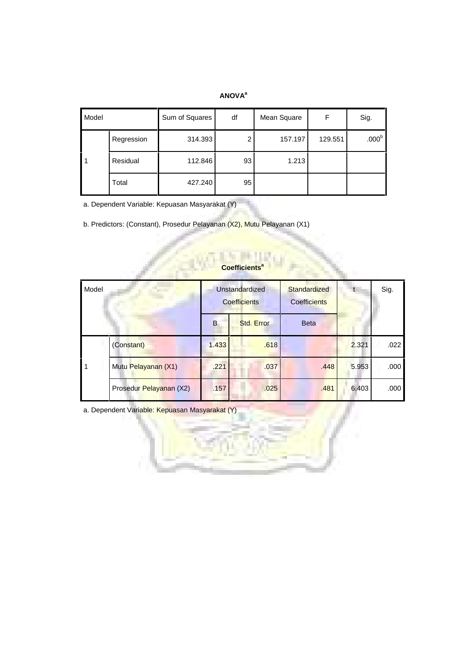#### **ANOVA<sup>a</sup>**

| Model |            | Sum of Squares | df | Mean Square | F       | Sig.              |
|-------|------------|----------------|----|-------------|---------|-------------------|
|       | Regression | 314.393        | 2  | 157.197     | 129.551 | .000 <sup>b</sup> |
|       | Residual   | 112.846        | 93 | 1.213       |         |                   |
|       | Total      | 427.240        | 95 |             |         |                   |

a. Dependent Variable: Kepuasan Masyarakat (Y)

b. Predictors: (Constant), Prosedur Pelayanan (X2), Mutu Pelayanan (X1)

| Model |                         |       | Unstandardized<br><b>Coefficients</b> | Standardized<br><b>Coefficients</b> |       | Sig. |
|-------|-------------------------|-------|---------------------------------------|-------------------------------------|-------|------|
|       |                         | B     | Std. Error                            | <b>Beta</b>                         |       |      |
|       | (Constant)              | 1.433 | .618                                  |                                     | 2.321 | .022 |
|       | Mutu Pelayanan (X1)     | .221  | .037                                  | .448                                | 5.953 | .000 |
|       | Prosedur Pelayanan (X2) | .157  | .025                                  | .481                                | 6.403 | .000 |

### **Coefficients<sup>a</sup>**

a. Dependent Variable: Kepuasan Masyarakat (Y)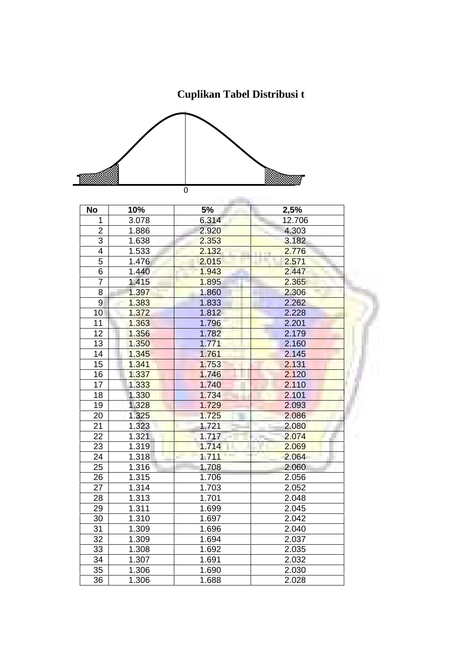**Cuplikan Tabel Distribusi t**



| <b>No</b>      | 10%   | 5%    | 2,5%                    |
|----------------|-------|-------|-------------------------|
| 1              | 3.078 | 6.314 | 12.706                  |
| $\overline{2}$ | 1.886 | 2.920 | 4.303                   |
| 3              | 1.638 | 2.353 | 3.182                   |
| 4              | 1.533 | 2.132 | 2.776<br><b>COLLECT</b> |
| 5              | 1.476 | 2.015 | 2.571                   |
| 6              | 1.440 | 1.943 | 2.447                   |
| $\overline{7}$ | 1.415 | 1.895 | 2.365                   |
| 8              | 1.397 | 1.860 | 2.306                   |
| 9              | 1.383 | 1.833 | 2.262                   |
| 10             | 1.372 | 1.812 | 2.228                   |
| 11             | 1.363 | 1.796 | 2.201                   |
| 12             | 1.356 | 1.782 | 2.179                   |
| 13             | 1.350 | 1.771 | 2.160                   |
| 14             | 1.345 | 1.761 | 2.145                   |
| 15             | 1.341 | 1.753 | 2.131                   |
| 16             | 1.337 | 1.746 | 2.120                   |
| 17             | 1.333 | 1.740 | 2.110                   |
| 18             | 1.330 | 1.734 | 2.101                   |
| 19             | 1.328 | 1.729 | 2.093                   |
| 20             | 1.325 | 1.725 | 2.086                   |
| 21             | 1.323 | 1.721 | 2.080                   |
| 22             | 1.321 | 1.717 | 2.074                   |
| 23             | 1.319 | 1.714 | 2.069                   |
| 24             | 1.318 | 1.711 | 2.064                   |
| 25             | 1.316 | 1.708 | 2.060                   |
| 26             | 1.315 | 1.706 | 2.056                   |
| 27             | 1.314 | 1.703 | 2.052                   |
| 28             | 1.313 | 1.701 | 2.048                   |
| 29             | 1.311 | 1.699 | 2.045                   |
| 30             | 1.310 | 1.697 | 2.042                   |
| 31             | 1.309 | 1.696 | 2.040                   |
| 32             | 1.309 | 1.694 | 2.037                   |
| 33             | 1.308 | 1.692 | 2.035                   |
| 34             | 1.307 | 1.691 | 2.032                   |
| 35             | 1.306 | 1.690 | 2.030                   |
| 36             | 1.306 | 1.688 | 2.028                   |
|                |       |       |                         |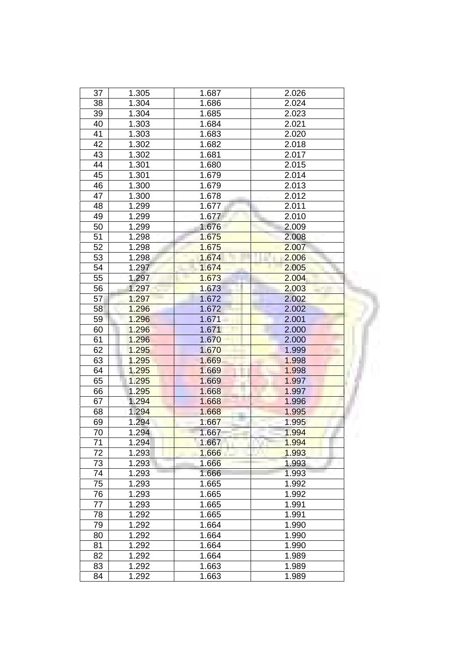| 37 | 1.305 | 1.687 | 2.026      |
|----|-------|-------|------------|
| 38 | 1.304 | 1.686 | 2.024      |
| 39 | 1.304 | 1.685 | 2.023      |
| 40 | 1.303 | 1.684 | 2.021      |
| 41 | 1.303 | 1.683 | 2.020      |
| 42 | 1.302 | 1.682 | 2.018      |
| 43 | 1.302 | 1.681 | 2.017      |
| 44 | 1.301 | 1.680 | 2.015      |
| 45 | 1.301 | 1.679 | 2.014      |
| 46 | 1.300 | 1.679 | 2.013      |
| 47 | 1.300 | 1.678 | 2.012      |
| 48 | 1.299 | 1.677 | 2.011      |
| 49 | 1.299 | 1.677 | 2.010      |
| 50 | 1.299 | 1.676 | 2.009      |
| 51 | 1.298 | 1.675 | 2.008      |
| 52 | 1.298 | 1.675 | 2.007      |
| 53 | 1.298 | 1.674 | 2.006      |
| 54 | 1.297 | 1.674 | 2.005      |
|    |       |       |            |
| 55 | 1.297 | 1.673 | 2.004      |
| 56 | 1.297 | 1.673 | 2.003      |
| 57 | 1.297 | 1.672 | 2.002      |
| 58 | 1.296 | 1.672 | 2.002      |
| 59 | 1.296 | 1.671 | 2.001      |
| 60 | 1.296 | 1.671 | 2.000      |
| 61 | 1.296 | 1.670 | 2.000      |
| 62 | 1.295 | 1.670 | 1.999      |
| 63 | 1.295 | 1.669 | 1.998      |
| 64 | 1.295 | 1.669 | 1.998      |
| 65 | 1.295 | 1.669 | 1.997      |
| 66 | 1.295 | 1.668 | 1.997      |
| 67 | 1.294 | 1.668 | 1.996      |
| 68 | 1.294 | 1.668 | 1.995      |
| 69 | 1.294 | 1.667 | 1.995      |
| 70 | 1.294 | 1.667 | 1.994<br>ш |
| 71 | 1.294 | 1.667 | 1.994      |
| 72 | 1.293 | 1.666 | 1.993      |
| 73 | 1.293 | 1.666 | 1.993      |
| 74 | 1.293 | 1.666 | 1.993      |
| 75 | 1.293 | 1.665 | 1.992      |
| 76 | 1.293 | 1.665 | 1.992      |
| 77 | 1.293 | 1.665 | 1.991      |
| 78 | 1.292 | 1.665 | 1.991      |
| 79 | 1.292 | 1.664 | 1.990      |
| 80 | 1.292 | 1.664 | 1.990      |
| 81 | 1.292 | 1.664 | 1.990      |
| 82 | 1.292 | 1.664 | 1.989      |
| 83 | 1.292 | 1.663 | 1.989      |
| 84 | 1.292 | 1.663 | 1.989      |
|    |       |       |            |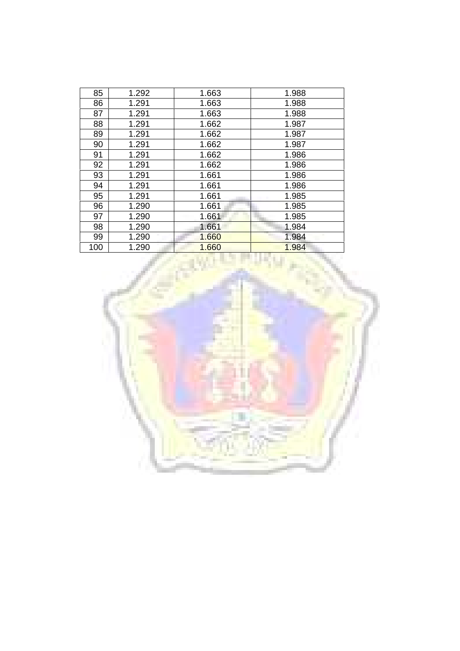| 85  | 1.292 | 1.663 | 1.988 |
|-----|-------|-------|-------|
| 86  | 1.291 | 1.663 | 1.988 |
| 87  | 1.291 | 1.663 | 1.988 |
| 88  | 1.291 | 1.662 | 1.987 |
| 89  | 1.291 | 1.662 | 1.987 |
| 90  | 1.291 | 1.662 | 1.987 |
| 91  | 1.291 | 1.662 | 1.986 |
| 92  | 1.291 | 1.662 | 1.986 |
| 93  | 1.291 | 1.661 | 1.986 |
| 94  | 1.291 | 1.661 | 1.986 |
| 95  | 1.291 | 1.661 | 1.985 |
| 96  | 1.290 | 1.661 | 1.985 |
| 97  | 1.290 | 1.661 | 1.985 |
| 98  | 1.290 | 1.661 | 1.984 |
| 99  | 1.290 | 1.660 | 1.984 |
| 100 | 1.290 | 1.660 | 1.984 |

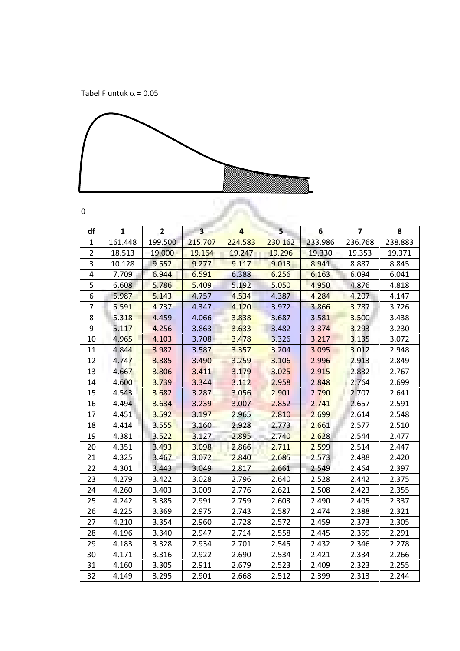Tabel F untuk  $\alpha$  = 0.05



| ٠<br>٧<br>۰<br>×<br>۰,<br>× |  |
|-----------------------------|--|
|                             |  |

| df             | 1       | $\overline{2}$ | 3 <sub>1</sub> | $\overline{4}$ | 5 <sub>1</sub> | 6       | $\overline{\mathbf{z}}$ | 8       |
|----------------|---------|----------------|----------------|----------------|----------------|---------|-------------------------|---------|
| $\mathbf{1}$   | 161.448 | 199.500        | 215.707        | 224.583        | 230.162        | 233.986 | 236.768                 | 238.883 |
| $\overline{2}$ | 18.513  | 19.000         | 19.164         | 19.247         | 19.296         | 19.330  | 19.353                  | 19.371  |
| 3              | 10.128  | 9.552          | 9.277          | 9.117          | 9.013          | 8.941   | 8.887                   | 8.845   |
| $\overline{4}$ | 7.709   | 6.944          | 6.591          | 6.388          | 6.256          | 6.163   | 6.094                   | 6.041   |
| 5              | 6.608   | 5.786          | 5.409          | 5.192          | 5.050          | 4.950   | 4.876                   | 4.818   |
| 6              | 5.987   | 5.143          | 4.757          | 4.534          | 4.387          | 4.284   | 4.207                   | 4.147   |
| $\overline{7}$ | 5.591   | 4.737          | 4.347          | 4.120          | 3.972          | 3.866   | 3.787                   | 3.726   |
| 8              | 5.318   | 4.459          | 4.066          | 3.838          | 3.687          | 3.581   | 3.500                   | 3.438   |
| 9              | 5.117   | 4.256          | 3.863          | 3.633          | 3.482          | 3.374   | 3.293                   | 3.230   |
| 10             | 4.965   | 4.103          | $3.708 -$      | 3.478          | 3.326          | 3.217   | 3.135                   | 3.072   |
| 11             | 4.844   | 3.982          | 3.587          | 3.357          | 3.204          | 3.095   | 3.012                   | 2.948   |
| 12             | 4.747   | 3.885          | 3.490          | 3.259          | 3.106          | 2.996   | 2.913                   | 2.849   |
| 13             | 4.667   | 3.806          | 3.411          | 3.179          | 3.025          | 2.915   | 2.832                   | 2.767   |
| 14             | 4.600   | 3.739          | 3.344          | 3.112          | 2.958          | 2.848   | 2.764                   | 2.699   |
| 15             | 4.543   | 3.682          | 3.287          | 3.056          | 2.901          | 2.790   | 2.707                   | 2.641   |
| 16             | 4.494   | 3.634          | 3.239          | 3.007          | 2.852          | 2.741   | 2.657                   | 2.591   |
| 17             | 4.451   | 3.592          | 3.197          | 2.965          | 2.810          | 2.699   | 2.614                   | 2.548   |
| 18             | 4.414   | 3.555          | 3.160          | 2.928          | 2.773          | 2.661   | 2.577                   | 2.510   |
| 19             | 4.381   | 3.522          | 3.127          | 2.895          | 2.740          | 2.628   | 2.544                   | 2.477   |
| 20             | 4.351   | 3.493          | 3.098          | 2.866          | 2.711          | 2.599   | 2.514                   | 2.447   |
| 21             | 4.325   | 3.467          | 3.072          | 2.840          | 2.685          | 2.573   | 2.488                   | 2.420   |
| 22             | 4.301   | 3.443          | 3.049          | 2.817          | 2.661          | 2.549   | 2.464                   | 2.397   |
| 23             | 4.279   | 3.422          | 3.028          | 2.796          | 2.640          | 2.528   | 2.442                   | 2.375   |
| 24             | 4.260   | 3.403          | 3.009          | 2.776          | 2.621          | 2.508   | 2.423                   | 2.355   |
| 25             | 4.242   | 3.385          | 2.991          | 2.759          | 2.603          | 2.490   | 2.405                   | 2.337   |
| 26             | 4.225   | 3.369          | 2.975          | 2.743          | 2.587          | 2.474   | 2.388                   | 2.321   |
| 27             | 4.210   | 3.354          | 2.960          | 2.728          | 2.572          | 2.459   | 2.373                   | 2.305   |
| 28             | 4.196   | 3.340          | 2.947          | 2.714          | 2.558          | 2.445   | 2.359                   | 2.291   |
| 29             | 4.183   | 3.328          | 2.934          | 2.701          | 2.545          | 2.432   | 2.346                   | 2.278   |
| 30             | 4.171   | 3.316          | 2.922          | 2.690          | 2.534          | 2.421   | 2.334                   | 2.266   |
| 31             | 4.160   | 3.305          | 2.911          | 2.679          | 2.523          | 2.409   | 2.323                   | 2.255   |
| 32             | 4.149   | 3.295          | 2.901          | 2.668          | 2.512          | 2.399   | 2.313                   | 2.244   |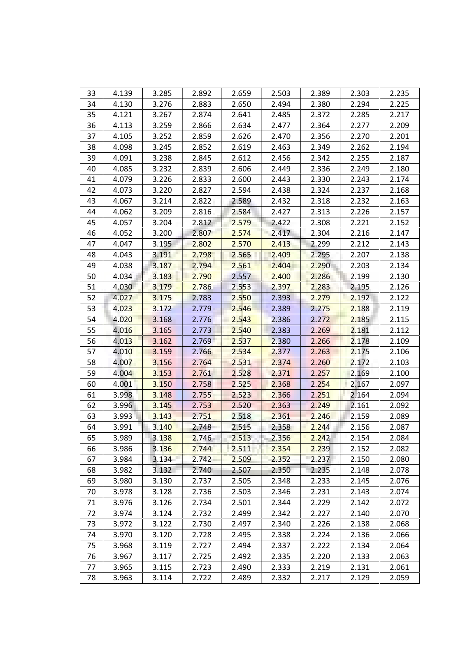| 33 | 4.139 | 3.285 | 2.892 | 2.659 | 2.503    | 2.389       | 2.303 | 2.235 |
|----|-------|-------|-------|-------|----------|-------------|-------|-------|
| 34 | 4.130 | 3.276 | 2.883 | 2.650 | 2.494    | 2.380       | 2.294 | 2.225 |
| 35 | 4.121 | 3.267 | 2.874 | 2.641 | 2.485    | 2.372       | 2.285 | 2.217 |
| 36 | 4.113 | 3.259 | 2.866 | 2.634 | 2.477    | 2.364       | 2.277 | 2.209 |
| 37 | 4.105 | 3.252 | 2.859 | 2.626 | 2.470    | 2.356       | 2.270 | 2.201 |
| 38 | 4.098 | 3.245 | 2.852 | 2.619 | 2.463    | 2.349       | 2.262 | 2.194 |
| 39 | 4.091 | 3.238 | 2.845 | 2.612 | 2.456    | 2.342       | 2.255 | 2.187 |
| 40 | 4.085 | 3.232 | 2.839 | 2.606 | 2.449    | 2.336       | 2.249 | 2.180 |
| 41 | 4.079 | 3.226 | 2.833 | 2.600 | 2.443    | 2.330       | 2.243 | 2.174 |
| 42 | 4.073 | 3.220 | 2.827 | 2.594 | 2.438    | 2.324       | 2.237 | 2.168 |
| 43 | 4.067 | 3.214 | 2.822 | 2.589 | 2.432    | 2.318       | 2.232 | 2.163 |
| 44 | 4.062 | 3.209 | 2.816 | 2.584 | 2.427    | 2.313       | 2.226 | 2.157 |
| 45 | 4.057 | 3.204 | 2.812 | 2.579 | 2.422    | 2.308       | 2.221 | 2.152 |
| 46 | 4.052 | 3.200 | 2.807 | 2.574 | $-2.417$ | 2.304       | 2.216 | 2.147 |
| 47 | 4.047 | 3.195 | 2.802 | 2.570 | 2.413    | 2.299       | 2.212 | 2.143 |
| 48 | 4.043 | 3.191 | 2.798 | 2.565 | 2.409    | 2.295       | 2.207 | 2.138 |
| 49 | 4.038 | 3.187 | 2.794 | 2.561 | 2.404    | 2.290       | 2.203 | 2.134 |
| 50 | 4.034 | 3.183 | 2.790 | 2.557 | 2.400    | 2.286       | 2.199 | 2.130 |
|    | 4.030 |       | 2.786 | 2.553 | 2.397    | 2.283       | 2.195 | 2.126 |
| 51 |       | 3.179 |       |       |          |             |       |       |
| 52 | 4.027 | 3.175 | 2.783 | 2.550 | 2.393    | 2.279       | 2.192 | 2.122 |
| 53 | 4.023 | 3.172 | 2.779 | 2.546 | 2.389    | 2.275       | 2.188 | 2.119 |
| 54 | 4.020 | 3.168 | 2.776 | 2.543 | 2.386    | 2.272       | 2.185 | 2.115 |
| 55 | 4.016 | 3.165 | 2.773 | 2.540 | 2.383    | 2.269       | 2.181 | 2.112 |
| 56 | 4.013 | 3.162 | 2.769 | 2.537 | 2.380    | 2.266       | 2.178 | 2.109 |
| 57 | 4.010 | 3.159 | 2.766 | 2.534 | 2.377    | 2.263       | 2.175 | 2.106 |
| 58 | 4.007 | 3.156 | 2.764 | 2.531 | 2.374    | 2.260       | 2.172 | 2.103 |
| 59 | 4.004 | 3.153 | 2.761 | 2.528 | 2.371    | 2.257       | 2.169 | 2.100 |
| 60 | 4.001 | 3.150 | 2.758 | 2.525 | 2.368    | 2.254       | 2.167 | 2.097 |
| 61 | 3.998 | 3.148 | 2.755 | 2.523 | 2.366    | 2.251       | 2.164 | 2.094 |
| 62 | 3.996 | 3.145 | 2.753 | 2.520 | 2.363    | 2.249       | 2.161 | 2.092 |
| 63 | 3.993 | 3.143 | 2.751 | 2.518 | 2.361    | 2.246       | 2.159 | 2.089 |
| 64 | 3.991 | 3.140 | 2.748 | 2.515 | 2.358    | 2.244<br>ä, | 2.156 | 2.087 |
| 65 | 3.989 | 3.138 | 2.746 | 2.513 | 2.356    | 2.242       | 2.154 | 2.084 |
| 66 | 3.986 | 3.136 | 2.744 | 2.511 | 2.354    | 2.239       | 2.152 | 2.082 |
| 67 | 3.984 | 3.134 | 2.742 | 2.509 | 2.352    | 2.237       | 2.150 | 2.080 |
| 68 | 3.982 | 3.132 | 2.740 | 2.507 | 2.350    | 2.235       | 2.148 | 2.078 |
| 69 | 3.980 | 3.130 | 2.737 | 2.505 | 2.348    | 2.233       | 2.145 | 2.076 |
| 70 | 3.978 | 3.128 | 2.736 | 2.503 | 2.346    | 2.231       | 2.143 | 2.074 |
| 71 | 3.976 | 3.126 | 2.734 | 2.501 | 2.344    | 2.229       | 2.142 | 2.072 |
| 72 | 3.974 | 3.124 | 2.732 | 2.499 | 2.342    | 2.227       | 2.140 | 2.070 |
| 73 | 3.972 | 3.122 | 2.730 | 2.497 | 2.340    | 2.226       | 2.138 | 2.068 |
| 74 | 3.970 | 3.120 | 2.728 | 2.495 | 2.338    | 2.224       | 2.136 | 2.066 |
| 75 | 3.968 | 3.119 | 2.727 | 2.494 | 2.337    | 2.222       | 2.134 | 2.064 |
| 76 | 3.967 | 3.117 | 2.725 | 2.492 | 2.335    | 2.220       | 2.133 | 2.063 |
| 77 | 3.965 | 3.115 | 2.723 | 2.490 | 2.333    | 2.219       | 2.131 | 2.061 |
| 78 | 3.963 | 3.114 | 2.722 | 2.489 | 2.332    | 2.217       | 2.129 | 2.059 |
|    |       |       |       |       |          |             |       |       |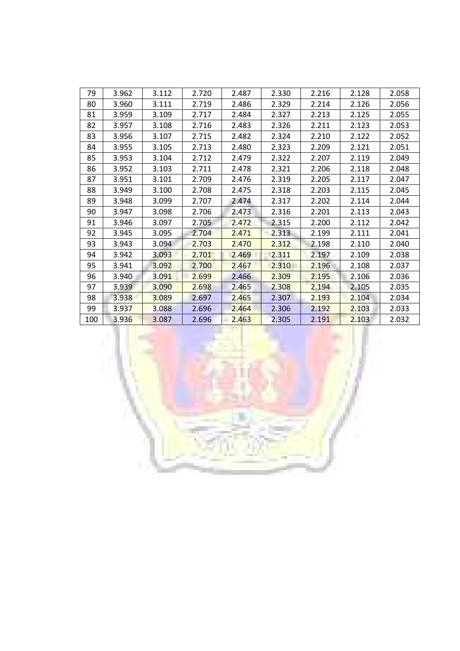| 79  | 3.962 | 3.112 | 2.720 | 2.487 | 2.330 | 2.216 | 2.128 | 2.058 |
|-----|-------|-------|-------|-------|-------|-------|-------|-------|
| 80  | 3.960 | 3.111 | 2.719 | 2.486 | 2.329 | 2.214 | 2.126 | 2.056 |
| 81  | 3.959 | 3.109 | 2.717 | 2.484 | 2.327 | 2.213 | 2.125 | 2.055 |
| 82  | 3.957 | 3.108 | 2.716 | 2.483 | 2.326 | 2.211 | 2.123 | 2.053 |
| 83  | 3.956 | 3.107 | 2.715 | 2.482 | 2.324 | 2.210 | 2.122 | 2.052 |
| 84  | 3.955 | 3.105 | 2.713 | 2.480 | 2.323 | 2.209 | 2.121 | 2.051 |
| 85  | 3.953 | 3.104 | 2.712 | 2.479 | 2.322 | 2.207 | 2.119 | 2.049 |
| 86  | 3.952 | 3.103 | 2.711 | 2.478 | 2.321 | 2.206 | 2.118 | 2.048 |
| 87  | 3.951 | 3.101 | 2.709 | 2.476 | 2.319 | 2.205 | 2.117 | 2.047 |
| 88  | 3.949 | 3.100 | 2.708 | 2.475 | 2.318 | 2.203 | 2.115 | 2.045 |
| 89  | 3.948 | 3.099 | 2.707 | 2.474 | 2.317 | 2.202 | 2.114 | 2.044 |
| 90  | 3.947 | 3.098 | 2.706 | 2.473 | 2.316 | 2.201 | 2.113 | 2.043 |
| 91  | 3.946 | 3.097 | 2.705 | 2.472 | 2.315 | 2.200 | 2.112 | 2.042 |
| 92  | 3.945 | 3.095 | 2.704 | 2.471 | 2.313 | 2.199 | 2.111 | 2.041 |
| 93  | 3.943 | 3.094 | 2.703 | 2.470 | 2.312 | 2.198 | 2.110 | 2.040 |
| 94  | 3.942 | 3.093 | 2.701 | 2.469 | 2.311 | 2.197 | 2.109 | 2.038 |
| 95  | 3.941 | 3.092 | 2.700 | 2.467 | 2.310 | 2.196 | 2.108 | 2.037 |
| 96  | 3.940 | 3.091 | 2.699 | 2.466 | 2.309 | 2.195 | 2.106 | 2.036 |
| 97  | 3.939 | 3.090 | 2.698 | 2.465 | 2.308 | 2.194 | 2.105 | 2.035 |
| 98  | 3.938 | 3.089 | 2.697 | 2.465 | 2.307 | 2.193 | 2.104 | 2.034 |
| 99  | 3.937 | 3.088 | 2.696 | 2.464 | 2.306 | 2.192 | 2.103 | 2.033 |
| 100 | 3.936 | 3.087 | 2.696 | 2.463 | 2.305 | 2.191 | 2.103 | 2.032 |

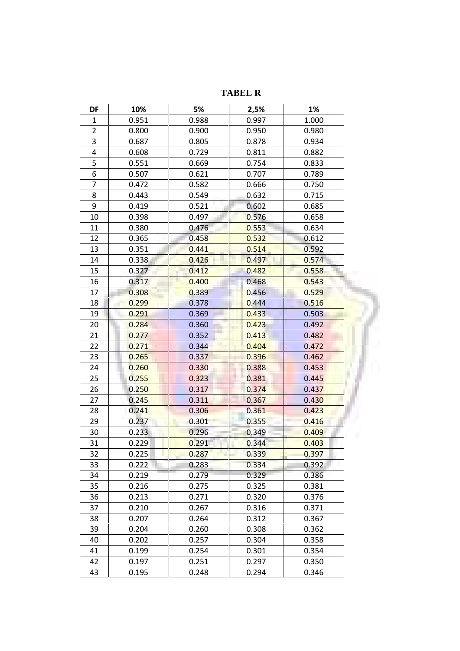**DF 10% 5% 2,5% 1%** 1 0.951 0.988 0.997 1.000 2 0.800 0.900 0.950 0.980 3 0.687 0.805 0.878 0.934 4 0.608 0.729 0.811 0.882 5 0.551 0.669 0.754 0.833 6 0.507 0.621 0.707 0.789 7 0.472 0.582 0.666 0.750 8 0.443 0.549 0.632 0.715 9 0.419 0.521 0.602 0.685 10 0.398 0.497 0.576 0.658 11 0.380 0.476 <mark>0.553</mark> 0.634 12 0.365 0.4<mark>58 0.532 0.</mark>612 | 13 0.351 0.441 0.514 0.592 14 0.338 0.426 0.497 0.574 0.574 15 0.327 0.412 0.482 0.558 16 0.317 0.400 0.468 0.543 17 0.308 0.389 0.456 0.529 0 18 0<mark>.299 0.378 0.444 0.516</mark> 19 0<mark>.291 0.369 0.433 0.503</mark> 20 0<mark>.284 0.360 0.423 0.492</mark> 21 0<mark>.277 0.352 0.413</mark> 0.482 | 22 0<mark>.271 0.344 0.404 0.472</mark> 23 0<mark>.265 0.337 0.396 0.462</mark> 24 0<mark>.260 0.330 0.388 0.453</mark> 25 0.255 0.323 0.381 0.445 26 0.2<mark>50 0.317 0.374 0.437</mark> 27 0.245 0.311 0.367 0.430 28 0.24<mark>1 0.306 0.361 0.423</mark> 29 0.237 0.301 0.355 <mark>0.416</mark> 30 0.233 <mark>0.296 0.349 0.409</mark> 31 0.229 <mark>0.291 0.344 0.403</mark> 32 0.225 0.287 0.339 0.33<mark>9 0.397</mark> 33 0.222 0.283 0.334 0.392 34 0.219 0.279 0.329 0.386 35 0.216 0.275 0.325 0.381 36 0.213 0.271 0.320 0.376 37 0.210 0.267 0.316 0.371 38 0.207 0.264 0.312 0.367 39 0.204 0.260 0.308 0.362 40 0.202 0.257 0.304 0.358 41 0.199 0.254 0.301 0.354 42 0.197 0.251 0.297 0.350 43 0.195 0.248 0.294 0.346

**TABEL R**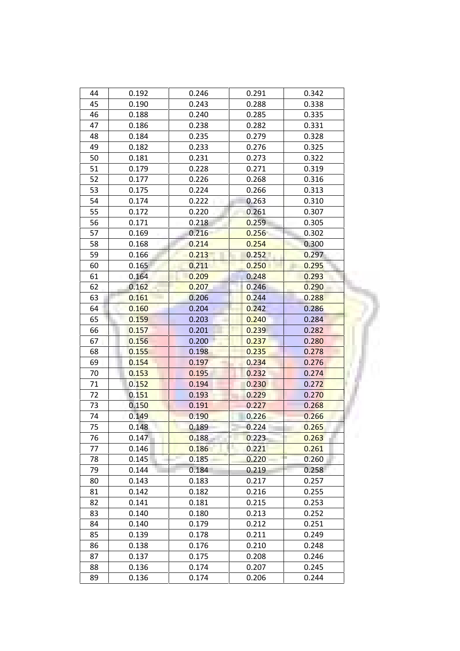| 44 | 0.192 | 0.246 | 0.291 | 0.342 |
|----|-------|-------|-------|-------|
| 45 | 0.190 | 0.243 | 0.288 | 0.338 |
| 46 | 0.188 | 0.240 | 0.285 | 0.335 |
| 47 | 0.186 | 0.238 | 0.282 | 0.331 |
| 48 | 0.184 | 0.235 | 0.279 | 0.328 |
| 49 | 0.182 | 0.233 | 0.276 | 0.325 |
| 50 | 0.181 | 0.231 | 0.273 | 0.322 |
| 51 | 0.179 | 0.228 | 0.271 | 0.319 |
| 52 | 0.177 | 0.226 | 0.268 | 0.316 |
| 53 | 0.175 | 0.224 | 0.266 | 0.313 |
| 54 | 0.174 | 0.222 | 0.263 | 0.310 |
| 55 | 0.172 | 0.220 | 0.261 | 0.307 |
| 56 | 0.171 | 0.218 | 0.259 | 0.305 |
| 57 | 0.169 | 0.216 | 0.256 | 0.302 |
| 58 | 0.168 | 0.214 | 0.254 | 0.300 |
| 59 | 0.166 | 0.213 | 0.252 | 0.297 |
| 60 | 0.165 | 0.211 | 0.250 | 0.295 |
| 61 | 0.164 | 0.209 | 0.248 | 0.293 |
| 62 | 0.162 | 0.207 | 0.246 | 0.290 |
| 63 | 0.161 | 0.206 | 0.244 | 0.288 |
| 64 | 0.160 | 0.204 | 0.242 | 0.286 |
| 65 | 0.159 | 0.203 | 0.240 | 0.284 |
| 66 | 0.157 | 0.201 | 0.239 | 0.282 |
| 67 | 0.156 | 0.200 | 0.237 | 0.280 |
| 68 | 0.155 | 0.198 | 0.235 | 0.278 |
| 69 | 0.154 | 0.197 | 0.234 | 0.276 |
| 70 | 0.153 | 0.195 | 0.232 | 0.274 |
| 71 | 0.152 | 0.194 | 0.230 | 0.272 |
| 72 | 0.151 | 0.193 | 0.229 | 0.270 |
| 73 | 0.150 | 0.191 | 0.227 | 0.268 |
| 74 | 0.149 | 0.190 | 0.226 | 0.266 |
| 75 | 0.148 | 0.189 | 0.224 | 0.265 |
| 76 | 0.147 | 0.188 | 0.223 | 0.263 |
| 77 | 0.146 | 0.186 | 0.221 | 0.261 |
| 78 | 0.145 | 0.185 | 0.220 | 0.260 |
| 79 | 0.144 | 0.184 | 0.219 | 0.258 |
| 80 | 0.143 | 0.183 | 0.217 | 0.257 |
| 81 | 0.142 | 0.182 | 0.216 | 0.255 |
| 82 | 0.141 | 0.181 | 0.215 | 0.253 |
| 83 | 0.140 | 0.180 | 0.213 | 0.252 |
| 84 | 0.140 | 0.179 | 0.212 | 0.251 |
| 85 | 0.139 | 0.178 | 0.211 | 0.249 |
| 86 | 0.138 | 0.176 | 0.210 | 0.248 |
| 87 | 0.137 | 0.175 | 0.208 | 0.246 |
| 88 | 0.136 | 0.174 | 0.207 | 0.245 |
| 89 | 0.136 | 0.174 | 0.206 | 0.244 |
|    |       |       |       |       |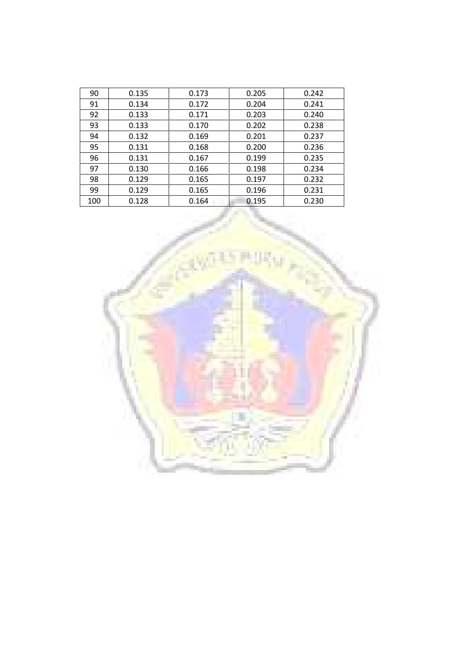| 90  | 0.135 | 0.173 | 0.205 | 0.242 |
|-----|-------|-------|-------|-------|
| 91  | 0.134 | 0.172 | 0.204 | 0.241 |
| 92  | 0.133 | 0.171 | 0.203 | 0.240 |
| 93  | 0.133 | 0.170 | 0.202 | 0.238 |
| 94  | 0.132 | 0.169 | 0.201 | 0.237 |
| 95  | 0.131 | 0.168 | 0.200 | 0.236 |
| 96  | 0.131 | 0.167 | 0.199 | 0.235 |
| 97  | 0.130 | 0.166 | 0.198 | 0.234 |
| 98  | 0.129 | 0.165 | 0.197 | 0.232 |
| 99  | 0.129 | 0.165 | 0.196 | 0.231 |
| 100 | 0.128 | 0.164 | 0.195 | 0.230 |

w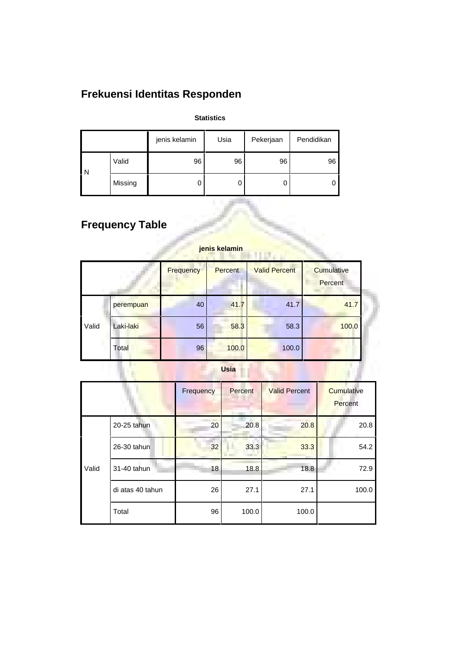# **Frekuensi Identitas Responden**

### **Statistics**

|   |         | jenis kelamin | Usia | Pekerjaan | Pendidikan |
|---|---------|---------------|------|-----------|------------|
| N | Valid   | 96            | 96   | 96        | 96         |
|   | Missing |               | 0    | U         | υ          |

# **Frequency Table**

|       |           | <b>Frequency</b> | <b>Percent</b> | <b>Valid Percent</b> | Cumulative<br>Percent |
|-------|-----------|------------------|----------------|----------------------|-----------------------|
|       | perempuan | 40               | 41.7           | 41.7                 | 41.7                  |
| Valid | Laki-laki | 56               | 58.3           | 58.3                 | 100.0                 |
|       | Total     | 96               | 100.0          | 100.0                |                       |
|       |           |                  | <b>Usia</b>    |                      |                       |

### **jenis kelamin**

### **Usia**

|       |                  | Frequency | Percent | <b>Valid Percent</b> | <b>Cumulative</b><br>Percent |
|-------|------------------|-----------|---------|----------------------|------------------------------|
|       | 20-25 tahun      | 20        | 20.8    | 20.8                 | 20.8                         |
|       | 26-30 tahun      | 32        | 33.3    | 33.3                 | 54.2                         |
| Valid | 31-40 tahun      | 18        | 18.8    | 18.8                 | 72.9                         |
|       | di atas 40 tahun | 26        | 27.1    | 27.1                 | 100.0                        |
|       | Total            | 96        | 100.0   | 100.0                |                              |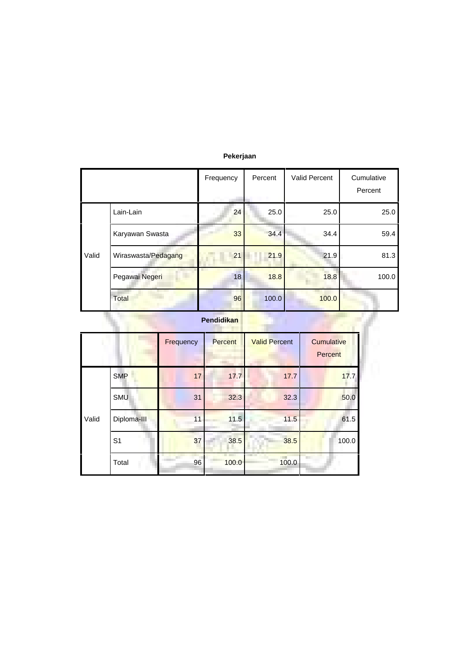|       |                     | Frequency         | Percent | Valid Percent | Cumulative<br>Percent |
|-------|---------------------|-------------------|---------|---------------|-----------------------|
|       | Lain-Lain           | 24                | 25.0    | 25.0          | 25.0                  |
|       | Karyawan Swasta     | 33                | 34.4    | 34.4          | 59.4                  |
| Valid | Wiraswasta/Pedagang | 21                | 21.9    | 21.9          | 81.3                  |
|       | Pegawai Negeri      | 18                | 18.8    | 18.8          | 100.0                 |
|       | Total               | 96                | 100.0   | 100.0         |                       |
|       |                     | <b>Pendidikan</b> |         |               |                       |

### **Pekerjaan**

|       |                | Frequency | Percent | <b>Valid Percent</b> | Cumulative<br>Percent |
|-------|----------------|-----------|---------|----------------------|-----------------------|
|       | <b>SMP</b>     | 17        | 17.7    | 17.7                 | 17.7                  |
|       | <b>SMU</b>     | 31        | 32.3    | 32.3                 | 50.0                  |
| Valid | Diploma-III    | 11        | 11.5    | 11.5                 | 61.5                  |
|       | S <sub>1</sub> | 37        | 38.5    | 38.5                 | 100.0                 |
|       | Total          | 96        | 100.0   | 100.0                |                       |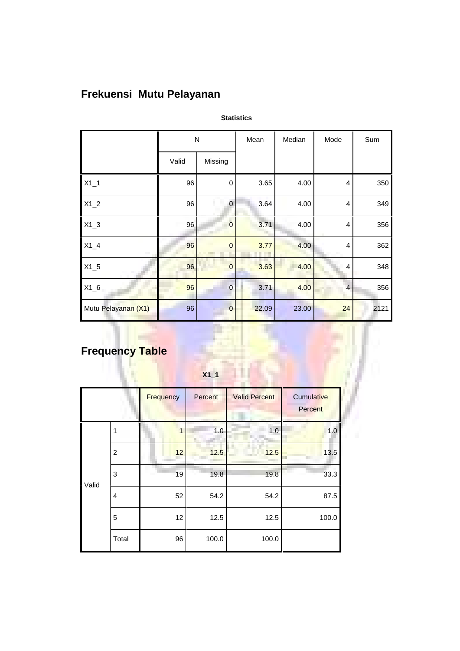# **Frekuensi Mutu Pelayanan**

|                     | ${\sf N}$ |                | Mean  | Median | Mode           | Sum  |
|---------------------|-----------|----------------|-------|--------|----------------|------|
|                     | Valid     | Missing        |       |        |                |      |
| $X1_1$              | 96        | 0              | 3.65  | 4.00   | 4              | 350  |
| $X1_2$              | 96        | $\Omega$       | 3.64  | 4.00   | 4              | 349  |
| $X1_3$              | 96        | $\overline{0}$ | 3.71  | 4.00   | 4              | 356  |
| $X1_4$              | 96        | $\overline{0}$ | 3.77  | 4.00   | 4              | 362  |
| $X1_5$              | 96        | 0              | 3.63  | 4.00   | 4              | 348  |
| $X1_6$              | 96        | $\overline{0}$ | 3.71  | 4.00   | $\overline{4}$ | 356  |
| Mutu Pelayanan (X1) | 96        | $\mathbf 0$    | 22.09 | 23.00  | 24             | 2121 |

**Statistics**

# **Frequency Table**

|       |                |           | $X1_1$  |                      |                       |
|-------|----------------|-----------|---------|----------------------|-----------------------|
|       |                | Frequency | Percent | <b>Valid Percent</b> | Cumulative<br>Percent |
| Valid | 1              | 1         | 1.0     | 1.0                  | 1.0                   |
|       | $\overline{c}$ | 12        | 12.5    | 12.5                 | 13.5                  |
|       | 3              | 19        | 19.8    | 19.8                 | 33.3                  |
|       | 4              | 52        | 54.2    | 54.2                 | 87.5                  |
|       | 5              | 12        | 12.5    | 12.5                 | 100.0                 |
|       | Total          | 96        | 100.0   | 100.0                |                       |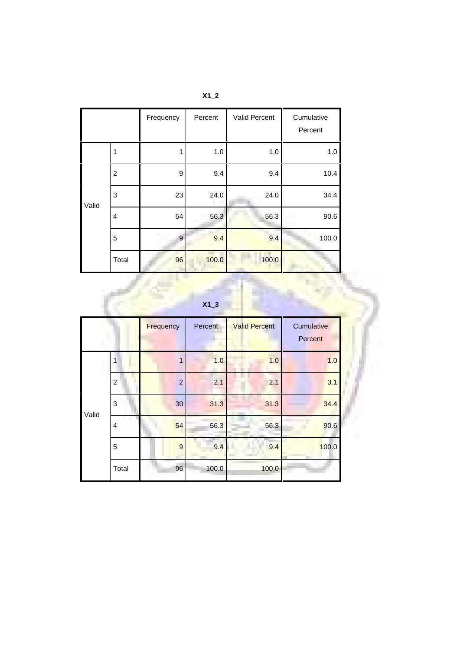|       |                | Frequency | Percent | Valid Percent    | Cumulative<br>Percent |
|-------|----------------|-----------|---------|------------------|-----------------------|
|       | 1              | 1         | 1.0     | 1.0              | 1.0                   |
|       | $\overline{2}$ | 9         | 9.4     | 9.4              | 10.4                  |
| Valid | 3              | 23        | 24.0    | 24.0             | 34.4                  |
|       | 4              | 54        | 56.3    | 56.3             | 90.6                  |
|       | 5              | 9         | 9.4     | $\overline{9.4}$ | 100.0                 |
|       | Total          | 96        | 100.0   | 100.0            |                       |

| <b>X1</b> |
|-----------|
|-----------|

| $X1_3$ |  |
|--------|--|

|       |                | Frequency      | Percent | <b>Valid Percent</b> | Cumulative<br><b>Percent</b> |
|-------|----------------|----------------|---------|----------------------|------------------------------|
| Valid | 1              | 1              | 1.0     | 1.0                  | 1.0                          |
|       | $\overline{c}$ | $\overline{2}$ | 2.1     | 2.1                  | 3.1                          |
|       | 3              | 30             | 31.3    | 31.3                 | 34.4                         |
|       | 4              | 54             | 56.3    | 56.3                 | 90.6                         |
|       | 5              | $\overline{9}$ | 9.4     | 9.4                  | 100.0                        |
|       | Total          | 96             | 100.0   | 100.0                |                              |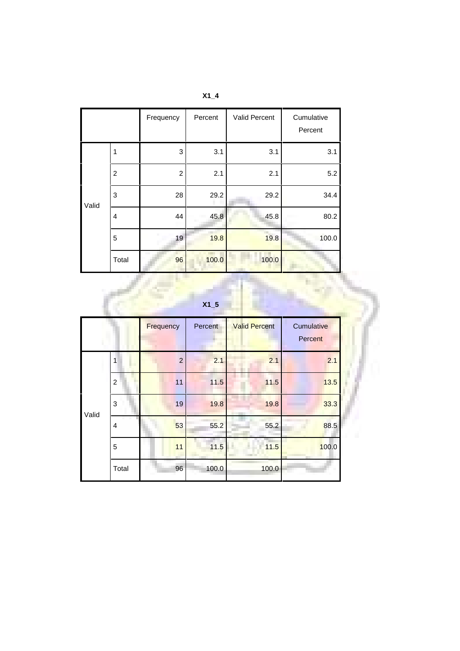|       |                | Frequency      | Percent | Valid Percent | Cumulative<br>Percent |
|-------|----------------|----------------|---------|---------------|-----------------------|
|       | 1              | 3              | 3.1     | 3.1           | 3.1                   |
|       | $\overline{2}$ | $\overline{2}$ | 2.1     | 2.1           | 5.2                   |
| Valid | 3              | 28             | 29.2    | 29.2          | 34.4                  |
|       | $\overline{4}$ | 44             | 45.8    | 45.8          | 80.2                  |
|       | 5              | 19             | 19.8    | m.<br>19.8    | 100.0                 |
|       | Total          | 96             | 100.0   | 100.0         |                       |

| X <sub>1</sub> |  |
|----------------|--|
|----------------|--|

| X <sub>1</sub> |   |  |  |
|----------------|---|--|--|
|                | u |  |  |
|                |   |  |  |

|       |                | Frequency      | Percent | <b>Valid Percent</b> | Cumulative<br><b>Percent</b> |
|-------|----------------|----------------|---------|----------------------|------------------------------|
| Valid | 1              | $\overline{c}$ | 2.1     | 2.1                  | 2.1                          |
|       | $\overline{2}$ | 11             | 11.5    | 11.5                 | 13.5                         |
|       | 3              | 19             | 19.8    | 19.8                 | 33.3                         |
|       | $\overline{4}$ | 53             | 55.2    | 55.2                 | 88.5                         |
|       | 5              | 11             | 11.5    | 11.5                 | 100.0                        |
|       | Total          | 96             | 100.0   | 100.0                |                              |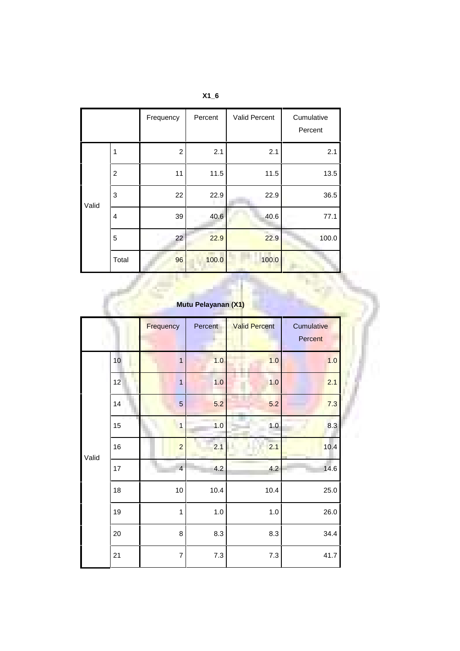|       |                | Frequency      | Percent | Valid Percent | Cumulative<br>Percent |
|-------|----------------|----------------|---------|---------------|-----------------------|
|       | 1              | $\overline{2}$ | 2.1     | 2.1           | 2.1                   |
| Valid | $\overline{c}$ | 11             | 11.5    | 11.5          | 13.5                  |
|       | 3              | 22             | 22.9    | 22.9          | 36.5                  |
|       | $\overline{4}$ | 39             | 40.6    | 40.6          | 77.1                  |
|       | 5              | 22             | 22.9    | 22.9          | 100.0                 |
|       | Total          | 96             | 100.0   | 100.0         |                       |

**X1\_6**

| Mutu Pelayanan (X1) |                 |                |         |                      |                       |  |  |  |
|---------------------|-----------------|----------------|---------|----------------------|-----------------------|--|--|--|
|                     |                 | Frequency      | Percent | <b>Valid Percent</b> | Cumulative<br>Percent |  |  |  |
|                     | 10 <sup>1</sup> | 1              | 1.0     | 1.0                  | 1.0                   |  |  |  |
|                     | 12              | $\overline{1}$ | 1.0     | 1.0                  | 2.1                   |  |  |  |
|                     | 14              | 5              | 5.2     | 5.2                  | 7.3                   |  |  |  |
|                     | 15              | $\overline{1}$ | 1.0     | 1.0                  | 8.3                   |  |  |  |
| Valid               | 16              | $\overline{a}$ | 2.1     | 2.1                  | 10.4                  |  |  |  |
|                     | 17              | $\overline{4}$ | 4.2     | 4.2                  | 14.6                  |  |  |  |
|                     | 18              | 10             | 10.4    | 10.4                 | 25.0                  |  |  |  |
|                     | 19              | $\mathbf{1}$   | $1.0$   | $1.0$                | 26.0                  |  |  |  |
|                     | 20              | 8              | 8.3     | 8.3                  | 34.4                  |  |  |  |
|                     | 21              | $\overline{7}$ | $7.3$   | $7.3$                | 41.7                  |  |  |  |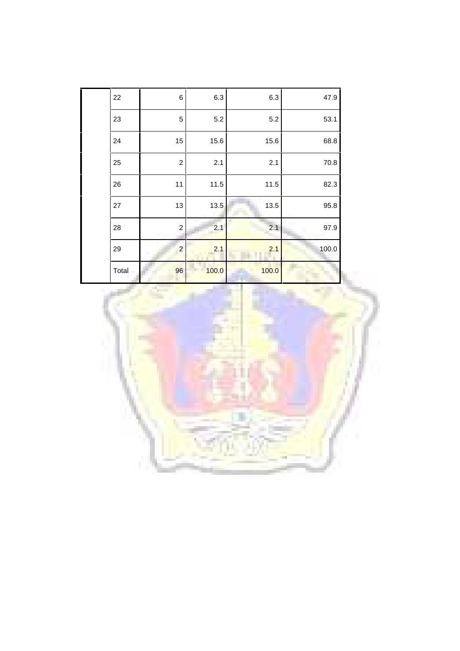| 22    | 6              | 6.3   | 6.3        | 47.9  |
|-------|----------------|-------|------------|-------|
| 23    | 5              | 5.2   | 5.2        | 53.1  |
| 24    | 15             | 15.6  | 15.6       | 68.8  |
| 25    | $\overline{c}$ | 2.1   | 2.1        | 70.8  |
| 26    | 11             | 11.5  | 11.5       | 82.3  |
| 27    | 13             | 13.5  | 13.5       | 95.8  |
| 28    | $\overline{c}$ | 2.1   | 2.1        | 97.9  |
| 29    | $\overline{c}$ | 2.1   | 2.1        | 100.0 |
| Total | 96             | 100.0 | 100.0<br>m |       |

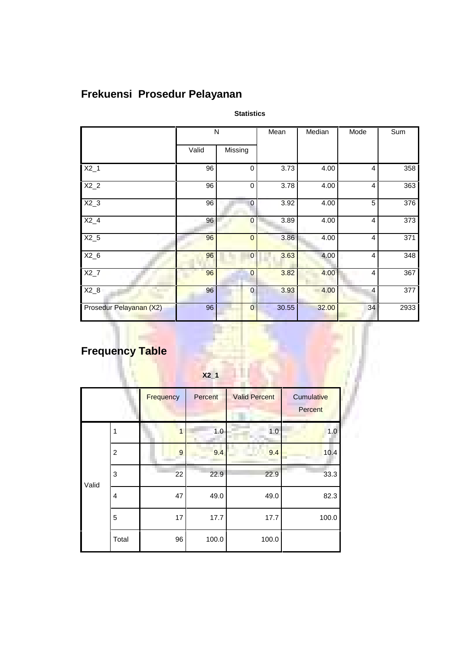# **Frekuensi Prosedur Pelayanan**

**Statistics**

|                         | N     |                | Mean  | Median | Mode           | Sum  |
|-------------------------|-------|----------------|-------|--------|----------------|------|
|                         | Valid | Missing        |       |        |                |      |
| $X2_1$                  | 96    | $\mathbf 0$    | 3.73  | 4.00   | 4              | 358  |
| $X2_2$                  | 96    | $\mathbf 0$    | 3.78  | 4.00   | 4              | 363  |
| $X2_3$                  | 96    | $\mathbf 0$    | 3.92  | 4.00   | 5              | 376  |
| $X2_4$                  | 96    | $\overline{0}$ | 3.89  | 4.00   | 4              | 373  |
| $X2_5$                  | 96    | $\overline{0}$ | 3.86  | 4.00   | 4              | 371  |
| $X2_6$                  | 96    | 0              | 3.63  | 4.00   | 4              | 348  |
| $X2_7$                  | 96    | $\overline{0}$ | 3.82  | 4.00   | $\overline{4}$ | 367  |
| $X2_8$                  | 96    | $\overline{0}$ | 3.93  | 4.00   | $\overline{4}$ | 377  |
| Prosedur Pelayanan (X2) | 96    | $\bf{0}$       | 30.55 | 32.00  | 34             | 2933 |

# **Frequency Table**

|       | $X2_1$         |           |          |                      |                       |  |
|-------|----------------|-----------|----------|----------------------|-----------------------|--|
|       |                | Frequency | Percent  | <b>Valid Percent</b> | Cumulative<br>Percent |  |
| 1     |                | 1         | 1.0<br>٦ | 1.0<br>Αy            | 1.0                   |  |
|       | $\overline{2}$ | 9         | 9.4      | 9.4                  | 10.4<br>m             |  |
| Valid | $\mathbf{3}$   | 22        | 22.9     | 22.9                 | 33.3                  |  |
|       | $\overline{4}$ | 47        | 49.0     | 49.0                 | 82.3                  |  |
|       | 5              | 17        | 17.7     | 17.7                 | 100.0                 |  |
|       | Total          | 96        | 100.0    | 100.0                |                       |  |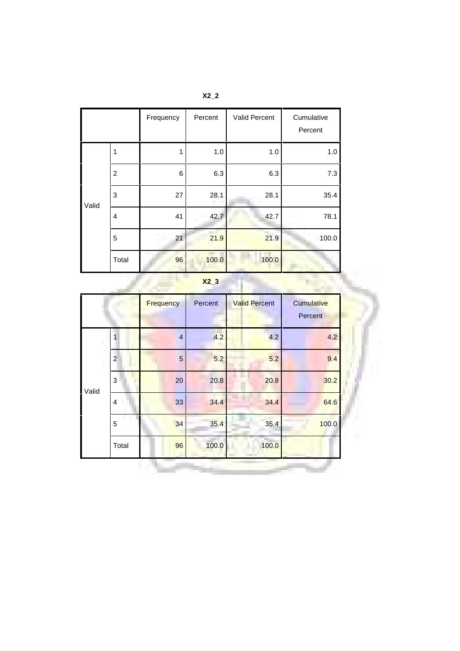|                 |                | Frequency | Percent | Valid Percent | Cumulative<br>Percent |
|-----------------|----------------|-----------|---------|---------------|-----------------------|
|                 | 1              | 1         | 1.0     | 1.0           | 1.0                   |
|                 | $\overline{c}$ | 6         | 6.3     | 6.3           | 7.3                   |
| 3<br>Valid<br>4 |                | 27        | 28.1    | 28.1          | 35.4                  |
|                 |                | 41        | 42.7    | 42.7          | 78.1                  |
|                 | 5              | 21        | 21.9    | 21.9          | 100.0                 |
|                 | Total          | 96        | 100.0   | 100.0         |                       |

**X2\_3**

ъ.

÷.

|                |                | Frequency      | Percent | <b>Valid Percent</b> | Cumulative<br>Percent |
|----------------|----------------|----------------|---------|----------------------|-----------------------|
|                |                | $\overline{4}$ | 4.2     | 4.2                  | 4.2                   |
|                | $\overline{c}$ | $\overline{5}$ | 5.2     | 5.2                  | 9.4                   |
| Valid          | 3              | 20             | 20.8    | 20.8                 | 30.2                  |
| $\overline{4}$ |                | 33             | 34.4    | 34.4                 | 64.6                  |
|                | 5              | 34             | 35.4    | 35.4                 | 100.0                 |
|                | Total          | 96             | 100.0   | 100.0                |                       |

**X2\_2**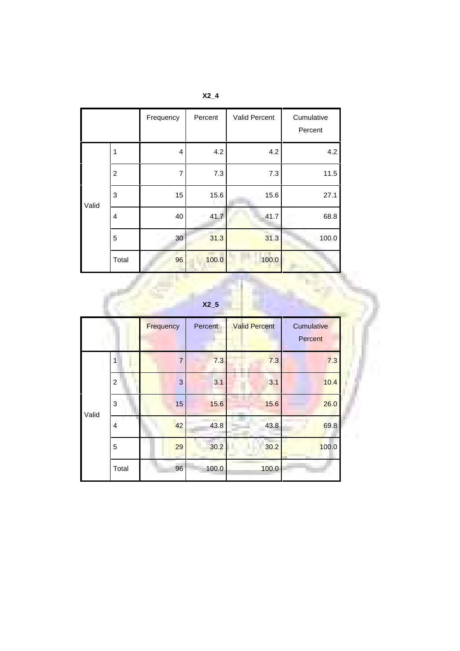|       |                | Frequency | Percent | Valid Percent | Cumulative<br>Percent |
|-------|----------------|-----------|---------|---------------|-----------------------|
|       | 1              | 4         | 4.2     | 4.2           | 4.2                   |
|       | $\overline{c}$ | 7         | 7.3     | 7.3           | 11.5                  |
| Valid | $\mathbf{3}$   | 15        | 15.6    | 15.6          | 27.1                  |
|       | $\overline{4}$ | 40        | 41.7    | 41.7          | 68.8                  |
|       | 5              | 30        | 31.3    | 31.3          | 100.0                 |
|       | Total          | 96        | 100.0   | 100.0         |                       |

| X2 |
|----|
|----|

| X2 <sub>5</sub> |  |  |
|-----------------|--|--|
|                 |  |  |

Ì

|                 |                | Frequency      | Percent | <b>Valid Percent</b> | Cumulative<br><b>Percent</b> |
|-----------------|----------------|----------------|---------|----------------------|------------------------------|
|                 | 1              | $\overline{7}$ | 7.3     | 7.3                  | 7.3                          |
|                 | $\overline{c}$ | 3              | 3.1     | 3.1                  | 10.4                         |
| 3<br>Valid<br>4 |                | 15             | 15.6    | 15.6                 | 26.0                         |
|                 |                | 42             | 43.8    | 43.8                 | 69.8                         |
|                 | 5              | 29             | 30.2    | 30.2                 | 100.0                        |
|                 | Total          | 96             | 100.0   | 100.0                |                              |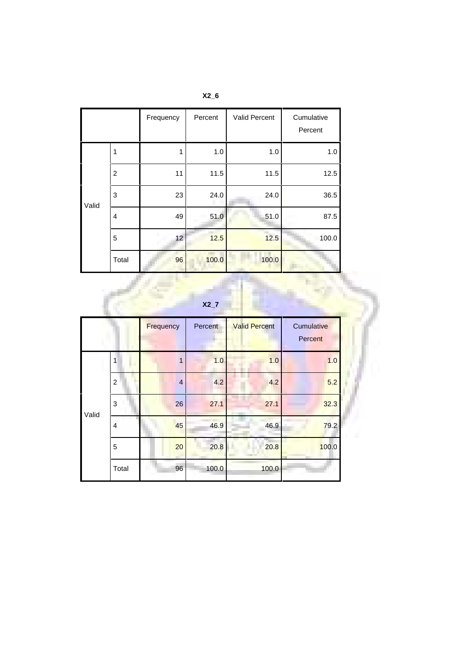|                                              |                | Frequency | Percent | Valid Percent | Cumulative<br>Percent |
|----------------------------------------------|----------------|-----------|---------|---------------|-----------------------|
|                                              | 1              | 1         | 1.0     | 1.0           | 1.0                   |
|                                              | $\overline{c}$ | 11        | 11.5    | 11.5          | 12.5                  |
| $\mathbf{3}$<br>Valid<br>$\overline{4}$<br>5 |                | 23        | 24.0    | 24.0          | 36.5                  |
|                                              |                | 49        | 51.0    | 51.0          | 87.5                  |
|                                              |                | 12        | 12.5    | m<br>12.5     | 100.0                 |
|                                              | Total          | 96        | 100.0   | 100.0         |                       |

**X2\_7**

|       |                | Frequency      | Percent | <b>Valid Percent</b> | Cumulative<br>Percent |
|-------|----------------|----------------|---------|----------------------|-----------------------|
|       |                | 1              | 1.0     | 1.0                  | 1.0                   |
|       | $\overline{c}$ | $\overline{4}$ | 4.2     | 4.2                  | 5.2                   |
| Valid | 3              | 26             | 27.1    | 27.1                 | 32.3                  |
|       | 4              | 45             | 46.9    | 46.9                 | 79.2                  |
|       | 5              | 20             | 20.8    | 20.8                 | 100.0                 |
|       | Total          | 96             | 100.0   | 100.0                |                       |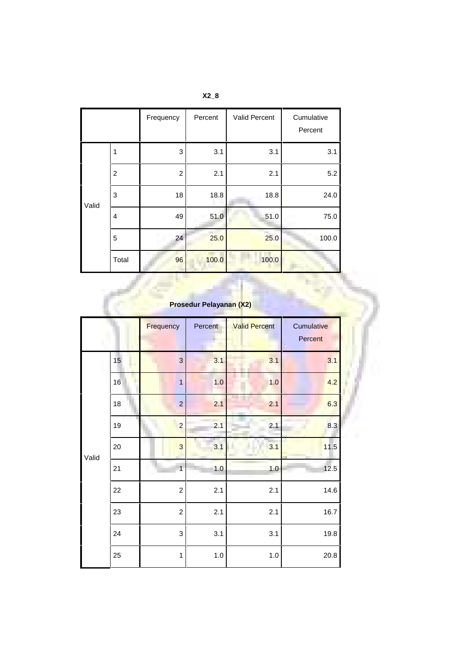|       |                | Frequency      | Percent | Valid Percent | Cumulative<br>Percent |
|-------|----------------|----------------|---------|---------------|-----------------------|
| Valid | 1              | 3              | 3.1     | 3.1           | 3.1                   |
|       | $\overline{c}$ | $\overline{c}$ | 2.1     | 2.1           | 5.2                   |
|       | 3              | 18             | 18.8    | 18.8          | 24.0                  |
|       | $\overline{4}$ | 49             | 51.0    | 51.0          | 75.0                  |
|       | 5              | 24             | 25.0    | 25.0          | 100.0                 |
|       | Total          | 96             | 100.0   | 100.0         |                       |

**X2\_8**

| Prosedur Pelayanan (X2) |    |                |              |                      |                       |  |  |  |
|-------------------------|----|----------------|--------------|----------------------|-----------------------|--|--|--|
|                         |    | Frequency      | Percent<br>٠ | <b>Valid Percent</b> | Cumulative<br>Percent |  |  |  |
|                         | 15 | 3              | 3.1          | 3.1                  | 3.1                   |  |  |  |
|                         | 16 | $\overline{1}$ | 1.0          | 1.0                  | 4.2                   |  |  |  |
|                         | 18 | $\overline{c}$ | 2.1          | 2.1                  | 6.3                   |  |  |  |
|                         | 19 | $\overline{a}$ | 2.1          | 2.1                  | 8.3                   |  |  |  |
| Valid                   | 20 | 3              | 3.1          | 3.1                  | 11.5                  |  |  |  |
|                         | 21 | $\overline{1}$ | 1.0          | 1.0                  | 12.5                  |  |  |  |
|                         | 22 | $\overline{c}$ | 2.1          | 2.1                  | 14.6                  |  |  |  |
|                         | 23 | $\overline{c}$ | 2.1          | 2.1                  | 16.7                  |  |  |  |
|                         | 24 | 3              | 3.1          | 3.1                  | 19.8                  |  |  |  |
|                         | 25 | 1              | $1.0$        | 1.0                  | 20.8                  |  |  |  |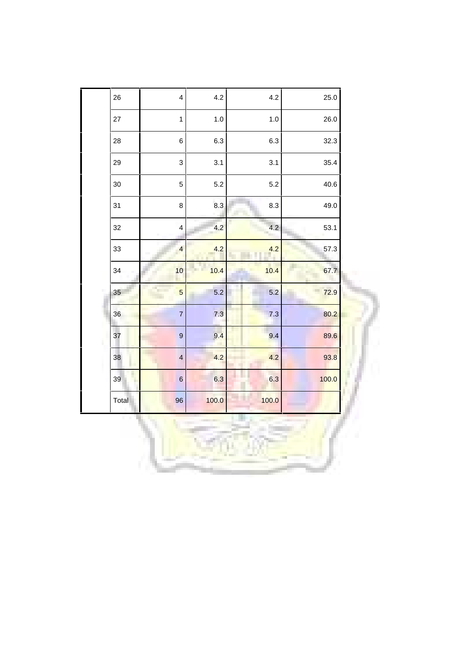| 26    | $\overline{\mathbf{4}}$ | 4.2   | 4.2   | 25.0  |
|-------|-------------------------|-------|-------|-------|
| 27    | $\mathbf{1}$            | 1.0   | 1.0   | 26.0  |
| 28    | $6\phantom{a}$          | 6.3   | 6.3   | 32.3  |
| 29    | 3                       | 3.1   | 3.1   | 35.4  |
| 30    | 5                       | 5.2   | 5.2   | 40.6  |
| 31    | 8                       | 8.3   | 8.3   | 49.0  |
| 32    | $\overline{\mathbf{r}}$ | 4.2   | 4.2   | 53.1  |
| 33    | $\overline{4}$          | 4.2   | 4.2   | 57.3  |
| 34    | 10                      | 10.4  | 10.4  | 67.7  |
| 35    | $\overline{5}$          | 5.2   | 5.2   | 72.9  |
| 36    | $\overline{7}$          | 7.3   | 7.3   | 80.2  |
| 37    | 9                       | 9.4   | 9.4   | 89.6  |
| 38    | $\overline{\mathbf{4}}$ | 4.2   | 4.2   | 93.8  |
| 39    | $\,$ 6 $\,$             | 6.3   | 6.3   | 100.0 |
| Total | 96                      | 100.0 | 100.0 |       |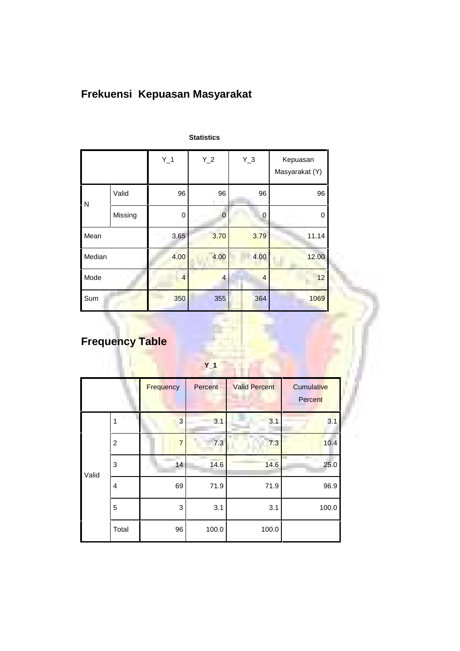# **Frekuensi Kepuasan Masyarakat**

|        |         | $Y_1$ | $Y_2$          | $Y_3$          | Kepuasan<br>Masyarakat (Y) |  |
|--------|---------|-------|----------------|----------------|----------------------------|--|
| N      | Valid   | 96    | 96             | 96             | 96                         |  |
|        | Missing | 0     | $\mathbf 0$    | 0              | 0                          |  |
| Mean   |         | 3.65  | 3.70           | 3.79           | 11.14                      |  |
| Median |         | 4.00  | 4.00           | 4.00           | 12.00                      |  |
| Mode   |         |       | $\overline{4}$ | $\overline{4}$ | 12                         |  |
| Sum    |         | 350   | 355            | 364            | 1069                       |  |

#### **Statistics**

# **Frequency Table**

|       |                | Frequency      | Percent | <b>Valid Percent</b> | Cumulative<br>Percent |
|-------|----------------|----------------|---------|----------------------|-----------------------|
| Valid | 1              | 3              | 3.1     | 3.1                  | 3.1                   |
|       | $\overline{c}$ | $\overline{7}$ | 7.3     | m<br>7.3             | 10.4                  |
|       | 3              | 14             | 14.6    | 14.6                 | ┳<br>25.0             |
|       | $\overline{4}$ | 69             | 71.9    | 71.9                 | 96.9                  |
|       | 5              | 3              | 3.1     | 3.1                  | 100.0                 |
|       | Total          | 96             | 100.0   | 100.0                |                       |

**Y\_1**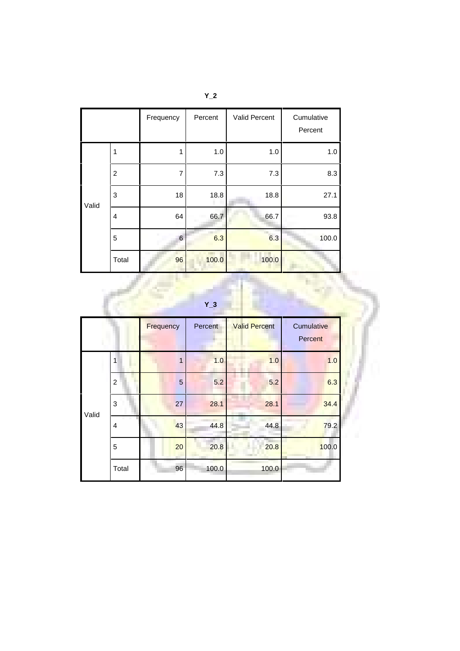|       |                | Frequency | Percent | Valid Percent | Cumulative<br>Percent |
|-------|----------------|-----------|---------|---------------|-----------------------|
| Valid | 1              | 1         | 1.0     | 1.0           | 1.0                   |
|       | $\overline{c}$ | 7         | 7.3     | 7.3           | 8.3                   |
|       | 3              | 18        | 18.8    | 18.8          | 27.1                  |
|       | $\overline{4}$ | 64        | 66.7    | 66.7          | 93.8                  |
|       | 5              | 6         | 6.3     | m.<br>6.3     | 100.0                 |
|       | Total          | 96        | 100.0   | 100.0         |                       |

|  |       |  | т | ۰<br>ī<br>Ξ | r<br>г |
|--|-------|--|---|-------------|--------|
|  | $Y_3$ |  |   |             |        |
|  |       |  |   |             |        |

|       |                | Frequency | Percent | <b>Valid Percent</b> | Cumulative<br>Percent |  |
|-------|----------------|-----------|---------|----------------------|-----------------------|--|
| Valid | 1              | 1         | 1.0     | 1.0                  | 1.0                   |  |
|       | $\overline{c}$ | 5         | 5.2     | 5.2                  | 6.3                   |  |
|       | 3              | 27        | 28.1    | 28.1                 | 34.4                  |  |
|       | $\overline{4}$ | 43        | 44.8    | 44.8                 | 79.2                  |  |
|       | 5              | 20        | 20.8    | 20.8                 | 100.0                 |  |
|       | Total          | 96        | 100.0   | 100.0                |                       |  |